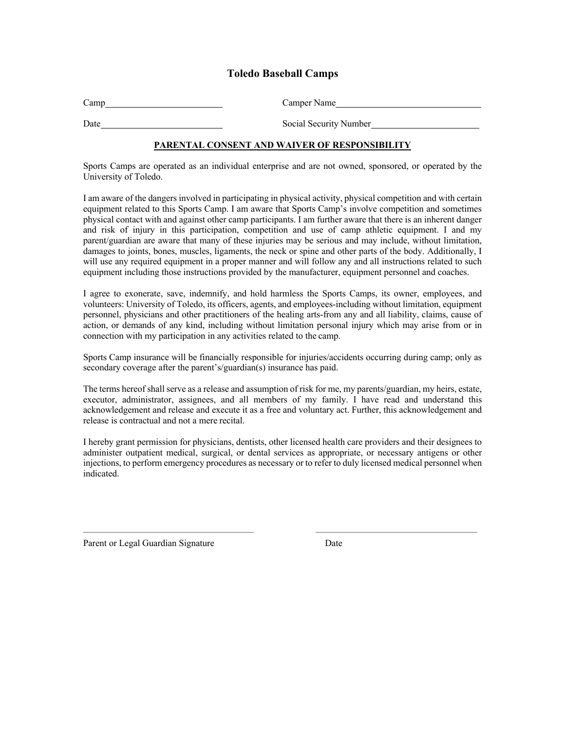## **Toledo Baseball Camps**

| Camp | Camper Name            |
|------|------------------------|
| Date | Social Security Number |

### **PARENTAL CONSENT AND WAIVER OF RESPONSIBILITY**

Sports Camps are operated as an individual enterprise and are not owned, sponsored, or operated by the University of Toledo.

I am aware of the dangers involved in participating in physical activity, physical competition and with certain equipment related to this Sports Camp. I am aware that Sports Camp's involve competition and sometimes physical contact with and against other camp participants. I am further aware that there is an inherent danger and risk of injury in this participation, competition and use of camp athletic equipment. I and my parent/guardian are aware that many of these injuries may be serious and may include, without limitation, damages to joints, bones, muscles, ligaments, the neck or spine and other parts of the body. Additionally, I will use any required equipment in a proper manner and will follow any and all instructions related to such equipment including those instructions provided by the manufacturer, equipment personnel and coaches.

I agree to exonerate, save, indemnify, and hold harmless the Sports Camps, its owner, employees, and volunteers: University of Toledo, its officers, agents, and employees-including without limitation, equipment personnel, physicians and other practitioners of the healing arts-from any and all liability, claims, cause of action, or demands of any kind, including without limitation personal injury which may arise from or in connection with my participation in any activities related to the camp.

Sports Camp insurance will be financially responsible for injuries/accidents occurring during camp; only as secondary coverage after the parent's/guardian(s) insurance has paid.

The terms hereof shall serve as a release and assumption of risk for me, my parents/guardian, my heirs, estate, executor, administrator, assignees, and all members of my family. I have read and understand this acknowledgement and release and execute it as a free and voluntary act. Further, this acknowledgement and release is contractual and not a mere recital.

I hereby grant permission for physicians, dentists, other licensed health care providers and their designees to administer outpatient medical, surgical, or dental services as appropriate, or necessary antigens or other injections, to perform emergency procedures as necessary or to refer to duly licensed medical personnel when indicated.

Parent or Legal Guardian Signature Date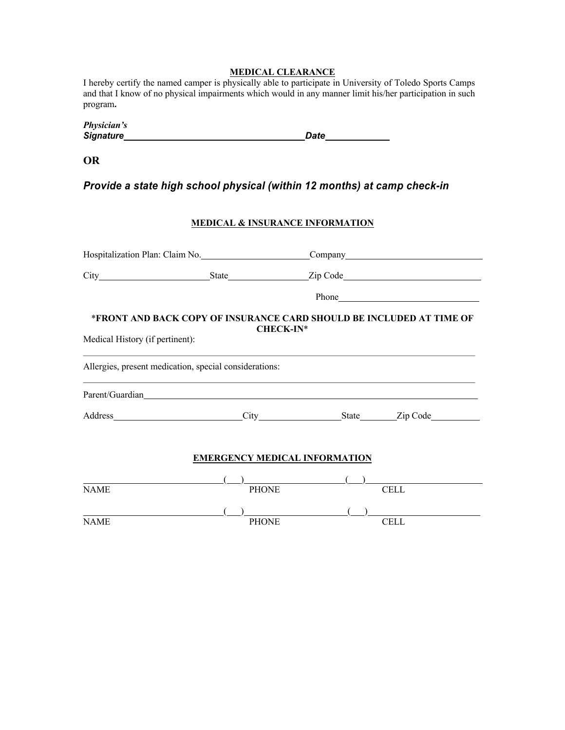### **MEDICAL CLEARANCE**

I hereby certify the named camper is physically able to participate in University of Toledo Sports Camps and that I know of no physical impairments which would in any manner limit his/her participation in such program*.* 

| Physician's      |      |
|------------------|------|
| <b>Signature</b> | Date |

**OR**

*Provide a state high school physical (within 12 months) at camp check-in*

### **MEDICAL & INSURANCE INFORMATION**

| Hospitalization Plan: Claim No.                                                                                             |  | Company Company Company Company Company Company Company Company Company Company Company Company Company Company Company Company Company Company Company Company Company Company Company Company Company Company Company Compan |  |  |  |  |
|-----------------------------------------------------------------------------------------------------------------------------|--|--------------------------------------------------------------------------------------------------------------------------------------------------------------------------------------------------------------------------------|--|--|--|--|
|                                                                                                                             |  |                                                                                                                                                                                                                                |  |  |  |  |
|                                                                                                                             |  |                                                                                                                                                                                                                                |  |  |  |  |
| *FRONT AND BACK COPY OF INSURANCE CARD SHOULD BE INCLUDED AT TIME OF<br><b>CHECK-IN*</b><br>Medical History (if pertinent): |  |                                                                                                                                                                                                                                |  |  |  |  |
| Allergies, present medication, special considerations:                                                                      |  |                                                                                                                                                                                                                                |  |  |  |  |
| Parent/Guardian                                                                                                             |  |                                                                                                                                                                                                                                |  |  |  |  |
|                                                                                                                             |  | Address City State Zip Code                                                                                                                                                                                                    |  |  |  |  |
|                                                                                                                             |  |                                                                                                                                                                                                                                |  |  |  |  |

### **EMERGENCY MEDICAL INFORMATION**

| <b>NAME</b> | <b>PHONE</b> | <b>CELL</b> |  |
|-------------|--------------|-------------|--|
|             |              |             |  |
| <b>NAME</b> | <b>PHONE</b> | CELL        |  |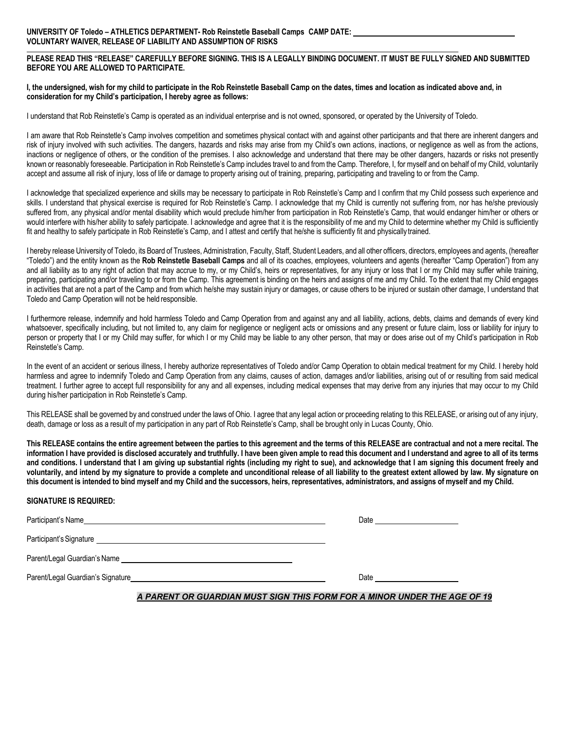**PLEASE READ THIS "RELEASE" CAREFULLY BEFORE SIGNING. THIS IS A LEGALLY BINDING DOCUMENT. IT MUST BE FULLY SIGNED AND SUBMITTED BEFORE YOU ARE ALLOWED TO PARTICIPATE.**

#### **I, the undersigned, wish for my child to participate in the Rob Reinstetle Baseball Camp on the dates, times and location as indicated above and, in consideration for my Child's participation, I hereby agree as follows:**

I understand that Rob Reinstetle's Camp is operated as an individual enterprise and is not owned, sponsored, or operated by the University of Toledo.

I am aware that Rob Reinstetle's Camp involves competition and sometimes physical contact with and against other participants and that there are inherent dangers and risk of injury involved with such activities. The dangers, hazards and risks may arise from my Child's own actions, inactions, or negligence as well as from the actions, inactions or negligence of others, or the condition of the premises. I also acknowledge and understand that there may be other dangers, hazards or risks not presently known or reasonably foreseeable. Participation in Rob Reinstetle's Camp includes travel to and from the Camp. Therefore, I, for myself and on behalf of my Child, voluntarily accept and assume all risk of injury, loss of life or damage to property arising out of training, preparing, participating and traveling to or from the Camp.

I acknowledge that specialized experience and skills may be necessary to participate in Rob Reinstetle's Camp and I confirm that my Child possess such experience and skills. I understand that physical exercise is required for Rob Reinstetle's Camp. I acknowledge that my Child is currently not suffering from, nor has he/she previously suffered from, any physical and/or mental disability which would preclude him/her from participation in Rob Reinstetle's Camp, that would endanger him/her or others or would interfere with his/her ability to safely participate. I acknowledge and agree that it is the responsibility of me and my Child to determine whether my Child is sufficiently fit and healthy to safely participate in Rob Reinstetle's Camp, and I attest and certify that he/she is sufficiently fit and physically trained.

I hereby release University of Toledo, its Board of Trustees, Administration, Faculty, Staff, Student Leaders, and all other officers, directors, employees and agents, (hereafter "Toledo") and the entity known as the **Rob Reinstetle Baseball Camps** and all of its coaches, employees, volunteers and agents (hereafter "Camp Operation") from any and all liability as to any right of action that may accrue to my, or my Child's, heirs or representatives, for any injury or loss that I or my Child may suffer while training, preparing, participating and/or traveling to or from the Camp. This agreement is binding on the heirs and assigns of me and my Child. To the extent that my Child engages in activities that are not a part of the Camp and from which he/she may sustain injury or damages, or cause others to be injured or sustain other damage, I understand that Toledo and Camp Operation will not be held responsible.

I furthermore release, indemnify and hold harmless Toledo and Camp Operation from and against any and all liability, actions, debts, claims and demands of every kind whatsoever, specifically including, but not limited to, any claim for negligence or negligent acts or omissions and any present or future claim, loss or liability for injury to person or property that I or my Child may suffer, for which I or my Child may be liable to any other person, that may or does arise out of my Child's participation in Rob Reinstetle's Camp.

In the event of an accident or serious illness, I hereby authorize representatives of Toledo and/or Camp Operation to obtain medical treatment for my Child. I hereby hold harmless and agree to indemnify Toledo and Camp Operation from any claims, causes of action, damages and/or liabilities, arising out of or resulting from said medical treatment. I further agree to accept full responsibility for any and all expenses, including medical expenses that may derive from any injuries that may occur to my Child during his/her participation in Rob Reinstetle's Camp.

This RELEASE shall be governed by and construed under the laws of Ohio. I agree that any legal action or proceeding relating to this RELEASE, or arising out of any injury, death, damage or loss as a result of my participation in any part of Rob Reinstetle's Camp, shall be brought only in Lucas County, Ohio.

**This RELEASE contains the entire agreement between the parties to this agreement and the terms of this RELEASE are contractual and not a mere recital. The information I have provided is disclosed accurately and truthfully. I have been given ample to read this document and I understand and agree to all of its terms and conditions. I understand that I am giving up substantial rights (including my right to sue), and acknowledge that I am signing this document freely and voluntarily, and intend by my signature to provide a complete and unconditional release of all liability to the greatest extent allowed by law. My signature on** this document is intended to bind myself and my Child and the successors, heirs, representatives, administrators, and assigns of myself and my Child.

#### **SIGNATURE IS REQUIRED:**

| Participant's Name_                                                                                                                             | Date |
|-------------------------------------------------------------------------------------------------------------------------------------------------|------|
| Participant's Signature<br><u> 1980 - John Stone, amerikansk politiker (d. 1980)</u>                                                            |      |
| Parent/Legal Guardian's Name<br>the contract of the contract of the contract of the contract of the contract of the contract of the contract of |      |
| Parent/Legal Guardian's Signature expansion of the state of the state of the state of the state of the state o                                  | Date |

*A PARENT OR GUARDIAN MUST SIGN THIS FORM FOR A MINOR UNDER THE AGE OF 19*